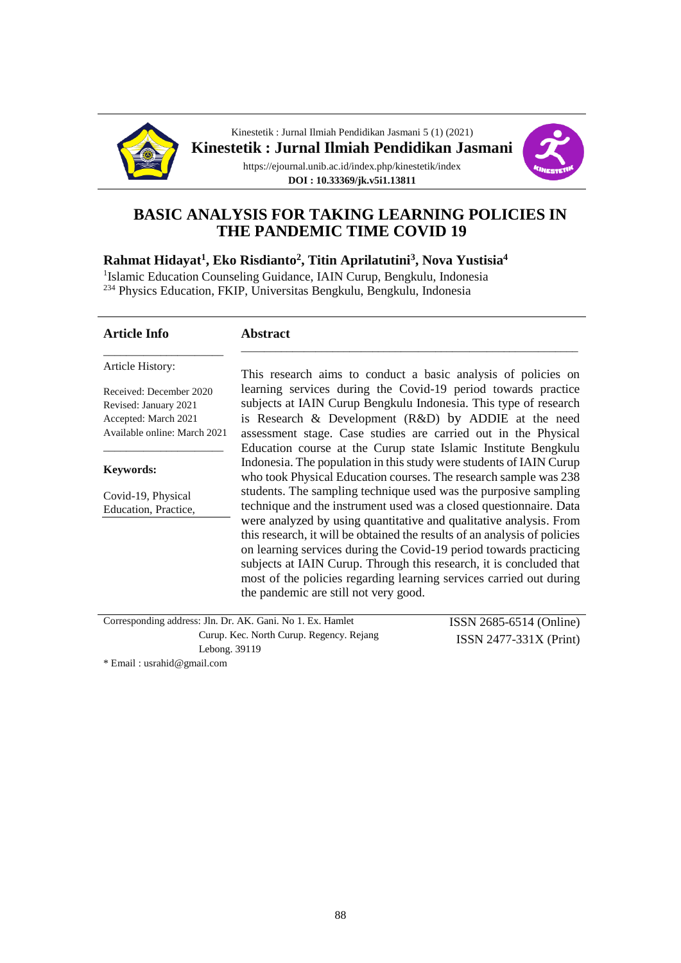



# **BASIC ANALYSIS FOR TAKING LEARNING POLICIES IN THE PANDEMIC TIME COVID 19**

**Rahmat Hidayat<sup>1</sup> , Eko Risdianto<sup>2</sup> , Titin Aprilatutini<sup>3</sup> , Nova Yustisia<sup>4</sup>**

<sup>1</sup>Islamic Education Counseling Guidance, IAIN Curup, Bengkulu, Indonesia

<sup>234</sup> Physics Education, FKIP, Universitas Bengkulu, Bengkulu, Indonesia

| Article History:<br>This research aims to conduct a basic analysis of policies on<br>learning services during the Covid-19 period towards practice<br>Received: December 2020<br>subjects at IAIN Curup Bengkulu Indonesia. This type of research<br>Revised: January 2021<br>is Research & Development (R&D) by ADDIE at the need<br>Accepted: March 2021<br>Available online: March 2021<br>assessment stage. Case studies are carried out in the Physical<br>Education course at the Curup state Islamic Institute Bengkulu<br>Indonesia. The population in this study were students of IAIN Curup<br>Keywords:<br>who took Physical Education courses. The research sample was 238<br>students. The sampling technique used was the purposive sampling<br>Covid-19, Physical<br>technique and the instrument used was a closed questionnaire. Data<br>Education, Practice,<br>were analyzed by using quantitative and qualitative analysis. From<br>this research, it will be obtained the results of an analysis of policies<br>on learning services during the Covid-19 period towards practicing<br>subjects at IAIN Curup. Through this research, it is concluded that<br>most of the policies regarding learning services carried out during<br>the pandemic are still not very good. | <b>Article Info</b> | <b>Abstract</b>                  |
|------------------------------------------------------------------------------------------------------------------------------------------------------------------------------------------------------------------------------------------------------------------------------------------------------------------------------------------------------------------------------------------------------------------------------------------------------------------------------------------------------------------------------------------------------------------------------------------------------------------------------------------------------------------------------------------------------------------------------------------------------------------------------------------------------------------------------------------------------------------------------------------------------------------------------------------------------------------------------------------------------------------------------------------------------------------------------------------------------------------------------------------------------------------------------------------------------------------------------------------------------------------------------------------------|---------------------|----------------------------------|
|                                                                                                                                                                                                                                                                                                                                                                                                                                                                                                                                                                                                                                                                                                                                                                                                                                                                                                                                                                                                                                                                                                                                                                                                                                                                                                |                     |                                  |
|                                                                                                                                                                                                                                                                                                                                                                                                                                                                                                                                                                                                                                                                                                                                                                                                                                                                                                                                                                                                                                                                                                                                                                                                                                                                                                |                     |                                  |
|                                                                                                                                                                                                                                                                                                                                                                                                                                                                                                                                                                                                                                                                                                                                                                                                                                                                                                                                                                                                                                                                                                                                                                                                                                                                                                |                     |                                  |
|                                                                                                                                                                                                                                                                                                                                                                                                                                                                                                                                                                                                                                                                                                                                                                                                                                                                                                                                                                                                                                                                                                                                                                                                                                                                                                |                     |                                  |
| $Corresponding$ address: $\text{In } \mathbb{R}^r$ $\Lambda K$ $\text{Coni } \text{No 1 } \text{Ev }$ Hamlet                                                                                                                                                                                                                                                                                                                                                                                                                                                                                                                                                                                                                                                                                                                                                                                                                                                                                                                                                                                                                                                                                                                                                                                   |                     | ICOM $\Omega$ COE CE14 (Oullies) |

Corresponding address: Jln. Dr. AK. Gani. No 1. Ex. Hamlet Curup. Kec. North Curup. Regency. Rejang Lebong. 39119 ISSN 2685-6514 (Online) ISSN 2477-331X (Print)

\* Email : usrahid@gmail.com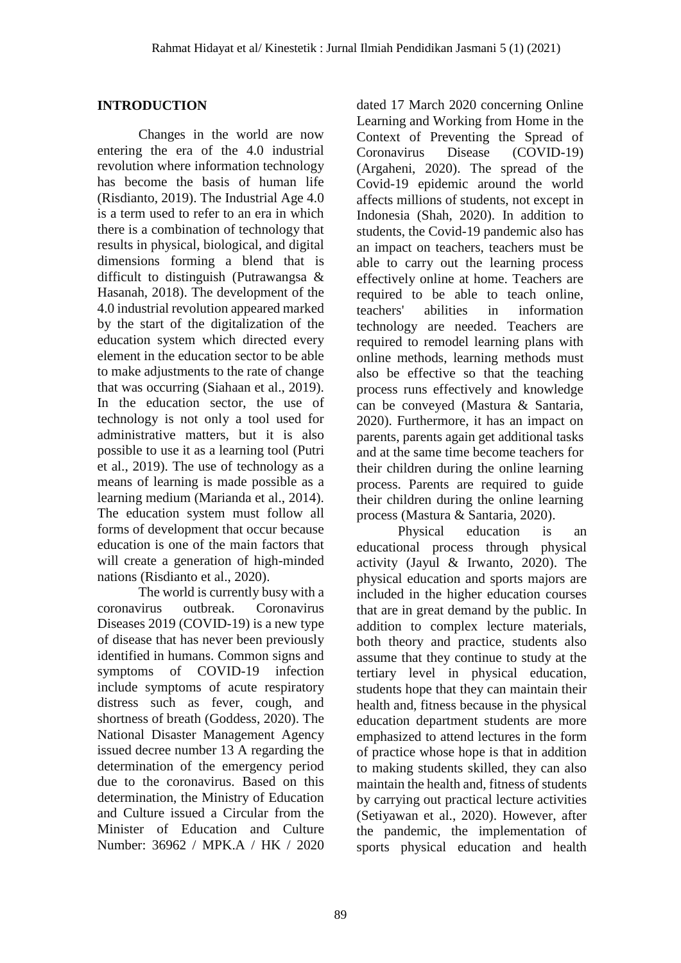# **INTRODUCTION**

Changes in the world are now entering the era of the 4.0 industrial revolution where information technology has become the basis of human life (Risdianto, 2019). The Industrial Age 4.0 is a term used to refer to an era in which there is a combination of technology that results in physical, biological, and digital dimensions forming a blend that is difficult to distinguish (Putrawangsa & Hasanah, 2018). The development of the 4.0 industrial revolution appeared marked by the start of the digitalization of the education system which directed every element in the education sector to be able to make adjustments to the rate of change that was occurring (Siahaan et al., 2019). In the education sector, the use of technology is not only a tool used for administrative matters, but it is also possible to use it as a learning tool (Putri et al., 2019). The use of technology as a means of learning is made possible as a learning medium (Marianda et al., 2014). The education system must follow all forms of development that occur because education is one of the main factors that will create a generation of high-minded nations (Risdianto et al., 2020).

The world is currently busy with a coronavirus outbreak. Coronavirus Diseases 2019 (COVID-19) is a new type of disease that has never been previously identified in humans. Common signs and symptoms of COVID-19 infection include symptoms of acute respiratory distress such as fever, cough, and shortness of breath (Goddess, 2020). The National Disaster Management Agency issued decree number 13 A regarding the determination of the emergency period due to the coronavirus. Based on this determination, the Ministry of Education and Culture issued a Circular from the Minister of Education and Culture Number: 36962 / MPK.A / HK / 2020

dated 17 March 2020 concerning Online Learning and Working from Home in the Context of Preventing the Spread of Coronavirus Disease (COVID-19) (Argaheni, 2020). The spread of the Covid-19 epidemic around the world affects millions of students, not except in Indonesia (Shah, 2020). In addition to students, the Covid-19 pandemic also has an impact on teachers, teachers must be able to carry out the learning process effectively online at home. Teachers are required to be able to teach online, teachers' abilities in information technology are needed. Teachers are required to remodel learning plans with online methods, learning methods must also be effective so that the teaching process runs effectively and knowledge can be conveyed (Mastura & Santaria, 2020). Furthermore, it has an impact on parents, parents again get additional tasks and at the same time become teachers for their children during the online learning process. Parents are required to guide their children during the online learning process (Mastura & Santaria, 2020).

Physical education is an educational process through physical activity (Jayul & Irwanto, 2020). The physical education and sports majors are included in the higher education courses that are in great demand by the public. In addition to complex lecture materials, both theory and practice, students also assume that they continue to study at the tertiary level in physical education, students hope that they can maintain their health and, fitness because in the physical education department students are more emphasized to attend lectures in the form of practice whose hope is that in addition to making students skilled, they can also maintain the health and, fitness of students by carrying out practical lecture activities (Setiyawan et al., 2020). However, after the pandemic, the implementation of sports physical education and health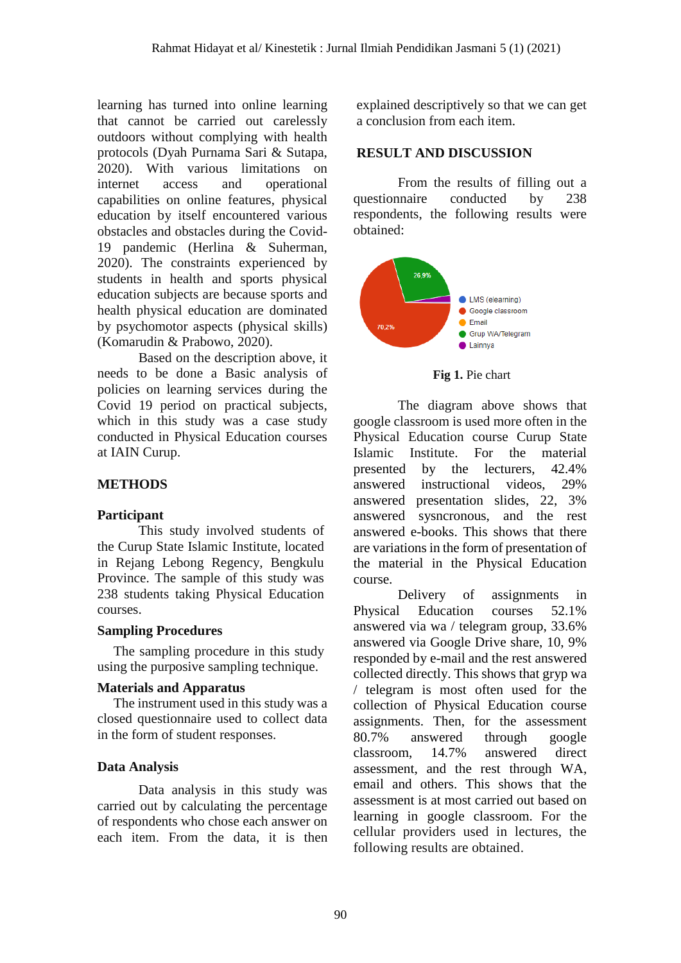learning has turned into online learning that cannot be carried out carelessly outdoors without complying with health protocols (Dyah Purnama Sari & Sutapa, 2020). With various limitations on internet access and operational capabilities on online features, physical education by itself encountered various obstacles and obstacles during the Covid-19 pandemic (Herlina & Suherman, 2020). The constraints experienced by students in health and sports physical education subjects are because sports and health physical education are dominated by psychomotor aspects (physical skills) (Komarudin & Prabowo, 2020).

Based on the description above, it needs to be done a Basic analysis of policies on learning services during the Covid 19 period on practical subjects, which in this study was a case study conducted in Physical Education courses at IAIN Curup.

# **METHODS**

## **Participant**

This study involved students of the Curup State Islamic Institute, located in Rejang Lebong Regency, Bengkulu Province. The sample of this study was 238 students taking Physical Education courses.

## **Sampling Procedures**

The sampling procedure in this study using the purposive sampling technique.

## **Materials and Apparatus**

The instrument used in this study was a closed questionnaire used to collect data in the form of student responses.

# **Data Analysis**

Data analysis in this study was carried out by calculating the percentage of respondents who chose each answer on each item. From the data, it is then

explained descriptively so that we can get a conclusion from each item.

# **RESULT AND DISCUSSION**

From the results of filling out a questionnaire conducted by 238 respondents, the following results were obtained:



**Fig 1.** Pie chart

The diagram above shows that google classroom is used more often in the Physical Education course Curup State Islamic Institute. For the material presented by the lecturers, 42.4% answered instructional videos, 29% answered presentation slides, 22, 3% answered sysncronous, and the rest answered e-books. This shows that there are variations in the form of presentation of the material in the Physical Education course.

Delivery of assignments in Physical Education courses 52.1% answered via wa / telegram group, 33.6% answered via Google Drive share, 10, 9% responded by e-mail and the rest answered collected directly. This shows that gryp wa / telegram is most often used for the collection of Physical Education course assignments. Then, for the assessment 80.7% answered through google classroom, 14.7% answered direct assessment, and the rest through WA, email and others. This shows that the assessment is at most carried out based on learning in google classroom. For the cellular providers used in lectures, the following results are obtained.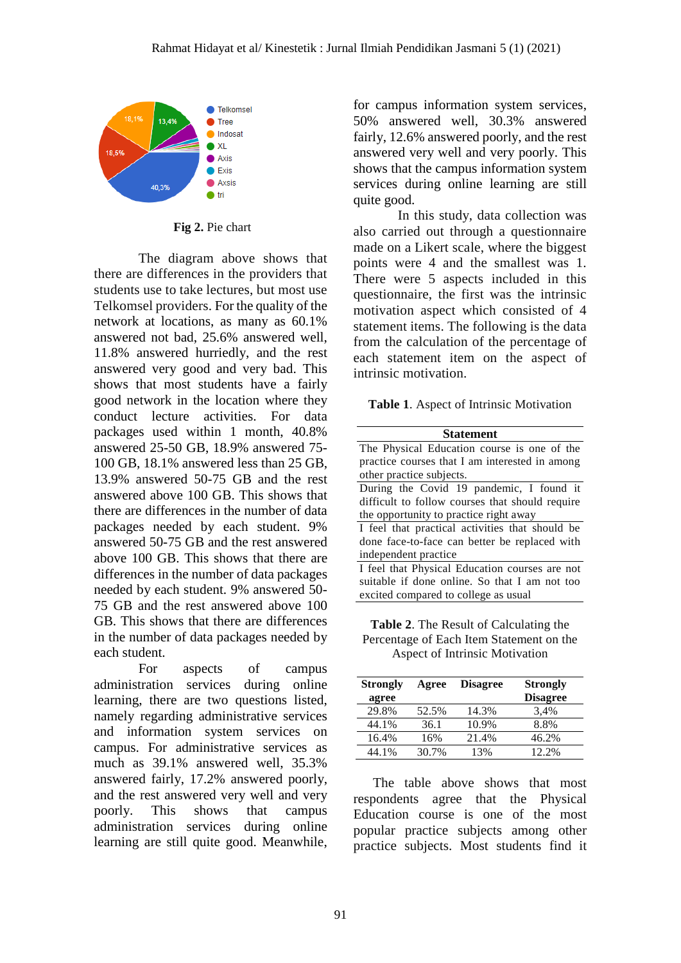

**Fig 2.** Pie chart

The diagram above shows that there are differences in the providers that students use to take lectures, but most use Telkomsel providers. For the quality of the network at locations, as many as 60.1% answered not bad, 25.6% answered well, 11.8% answered hurriedly, and the rest answered very good and very bad. This shows that most students have a fairly good network in the location where they conduct lecture activities. For data packages used within 1 month, 40.8% answered 25-50 GB, 18.9% answered 75- 100 GB, 18.1% answered less than 25 GB, 13.9% answered 50-75 GB and the rest answered above 100 GB. This shows that there are differences in the number of data packages needed by each student. 9% answered 50-75 GB and the rest answered above 100 GB. This shows that there are differences in the number of data packages needed by each student. 9% answered 50- 75 GB and the rest answered above 100 GB. This shows that there are differences in the number of data packages needed by each student.

For aspects of campus administration services during online learning, there are two questions listed, namely regarding administrative services and information system services on campus. For administrative services as much as 39.1% answered well, 35.3% answered fairly, 17.2% answered poorly, and the rest answered very well and very poorly. This shows that campus administration services during online learning are still quite good. Meanwhile,

for campus information system services, 50% answered well, 30.3% answered fairly, 12.6% answered poorly, and the rest answered very well and very poorly. This shows that the campus information system services during online learning are still quite good.

In this study, data collection was also carried out through a questionnaire made on a Likert scale, where the biggest points were 4 and the smallest was 1. There were 5 aspects included in this questionnaire, the first was the intrinsic motivation aspect which consisted of 4 statement items. The following is the data from the calculation of the percentage of each statement item on the aspect of intrinsic motivation.

**Table 1**. Aspect of Intrinsic Motivation

| <b>Statement</b>                                |  |  |  |
|-------------------------------------------------|--|--|--|
| The Physical Education course is one of the     |  |  |  |
| practice courses that I am interested in among  |  |  |  |
| other practice subjects.                        |  |  |  |
| During the Covid 19 pandemic, I found it        |  |  |  |
| difficult to follow courses that should require |  |  |  |
| the opportunity to practice right away          |  |  |  |
| I feel that practical activities that should be |  |  |  |
| done face-to-face can better be replaced with   |  |  |  |
| independent practice                            |  |  |  |
| I feel that Physical Education courses are not  |  |  |  |
| suitable if done online. So that I am not too   |  |  |  |
| excited compared to college as usual            |  |  |  |

**Table 2**. The Result of Calculating the Percentage of Each Item Statement on the Aspect of Intrinsic Motivation

| <b>Strongly</b><br>agree | Agree | <b>Disagree</b> | <b>Strongly</b><br><b>Disagree</b> |
|--------------------------|-------|-----------------|------------------------------------|
| 29.8%                    | 52.5% | 14.3%           | 3,4%                               |
| 44.1%                    | 36.1  | 10.9%           | 8.8%                               |
| 16.4%                    | 16%   | 21.4%           | 46.2%                              |
| 44.1%                    | 30.7% | 13%             | 12.2%                              |

The table above shows that most respondents agree that the Physical Education course is one of the most popular practice subjects among other practice subjects. Most students find it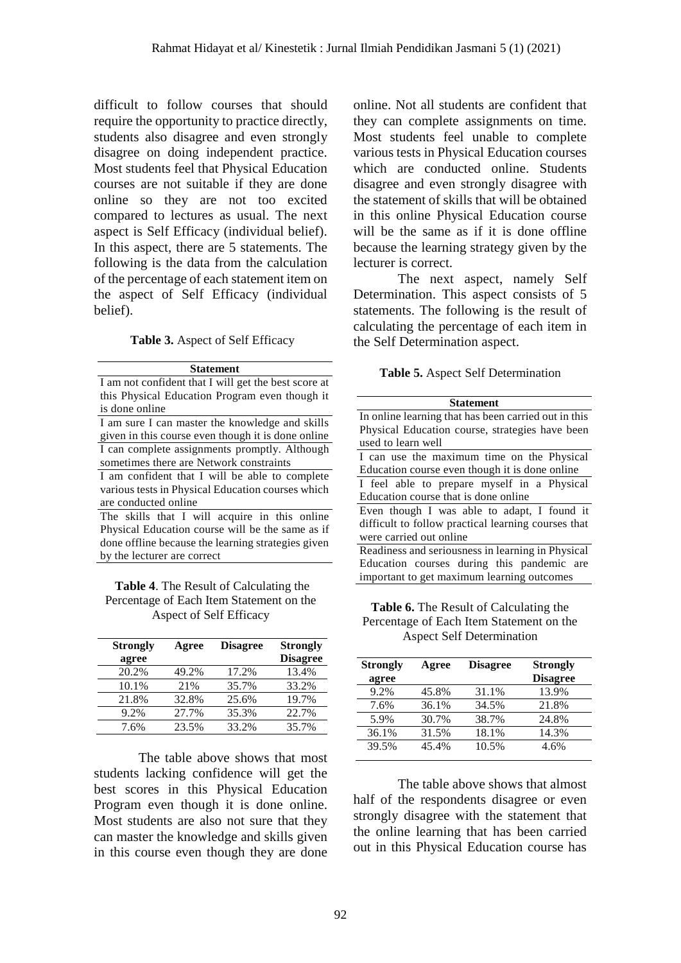difficult to follow courses that should require the opportunity to practice directly, students also disagree and even strongly disagree on doing independent practice. Most students feel that Physical Education courses are not suitable if they are done online so they are not too excited compared to lectures as usual. The next aspect is Self Efficacy (individual belief). In this aspect, there are 5 statements. The following is the data from the calculation of the percentage of each statement item on the aspect of Self Efficacy (individual belief).

#### **Table 3.** Aspect of Self Efficacy

| <b>Statement</b>                                     |  |  |  |
|------------------------------------------------------|--|--|--|
| I am not confident that I will get the best score at |  |  |  |
| this Physical Education Program even though it       |  |  |  |
| is done online                                       |  |  |  |
| I am sure I can master the knowledge and skills      |  |  |  |
| given in this course even though it is done online   |  |  |  |
| I can complete assignments promptly. Although        |  |  |  |
| sometimes there are Network constraints              |  |  |  |
| I am confident that I will be able to complete       |  |  |  |
| various tests in Physical Education courses which    |  |  |  |
| are conducted online                                 |  |  |  |
| The skills that I will acquire in this online        |  |  |  |
| Physical Education course will be the same as if     |  |  |  |
| done offline because the learning strategies given   |  |  |  |
| by the lecturer are correct                          |  |  |  |

#### **Table 4**. The Result of Calculating the Percentage of Each Item Statement on the Aspect of Self Efficacy

| <b>Strongly</b> | Agree | <b>Disagree</b> | <b>Strongly</b> |
|-----------------|-------|-----------------|-----------------|
| agree           |       |                 | <b>Disagree</b> |
| 20.2%           | 49.2% | 17.2%           | 13.4%           |
| 10.1%           | 21%   | 35.7%           | 33.2%           |
| 21.8%           | 32.8% | 25.6%           | 19.7%           |
| 9.2%            | 27.7% | 35.3%           | 22.7%           |
| 7.6%            | 23.5% | 33.2%           | 35.7%           |

The table above shows that most students lacking confidence will get the best scores in this Physical Education Program even though it is done online. Most students are also not sure that they can master the knowledge and skills given in this course even though they are done

online. Not all students are confident that they can complete assignments on time. Most students feel unable to complete various tests in Physical Education courses which are conducted online. Students disagree and even strongly disagree with the statement of skills that will be obtained in this online Physical Education course will be the same as if it is done offline because the learning strategy given by the lecturer is correct.

The next aspect, namely Self Determination. This aspect consists of 5 statements. The following is the result of calculating the percentage of each item in the Self Determination aspect.

#### **Table 5.** Aspect Self Determination

| <b>Statement</b>                                     |  |  |  |
|------------------------------------------------------|--|--|--|
| In online learning that has been carried out in this |  |  |  |
| Physical Education course, strategies have been      |  |  |  |
| used to learn well                                   |  |  |  |
| I can use the maximum time on the Physical           |  |  |  |
| Education course even though it is done online       |  |  |  |
| I feel able to prepare myself in a Physical          |  |  |  |
| Education course that is done online                 |  |  |  |
| Even though I was able to adapt, I found it          |  |  |  |
| difficult to follow practical learning courses that  |  |  |  |
| were carried out online                              |  |  |  |
| Readiness and seriousness in learning in Physical    |  |  |  |
| Education courses during this pandemic are           |  |  |  |
| important to get maximum learning outcomes           |  |  |  |

**Table 6.** The Result of Calculating the Percentage of Each Item Statement on the Aspect Self Determination

| <b>Strongly</b> | Agree | <b>Disagree</b> | <b>Strongly</b> |
|-----------------|-------|-----------------|-----------------|
| agree           |       |                 | <b>Disagree</b> |
| 9.2%            | 45.8% | 31.1%           | 13.9%           |
| 7.6%            | 36.1% | 34.5%           | 21.8%           |
| 5.9%            | 30.7% | 38.7%           | 24.8%           |
| 36.1%           | 31.5% | 18.1%           | 14.3%           |
| 39.5%           | 45.4% | 10.5%           | 4.6%            |

The table above shows that almost half of the respondents disagree or even strongly disagree with the statement that the online learning that has been carried out in this Physical Education course has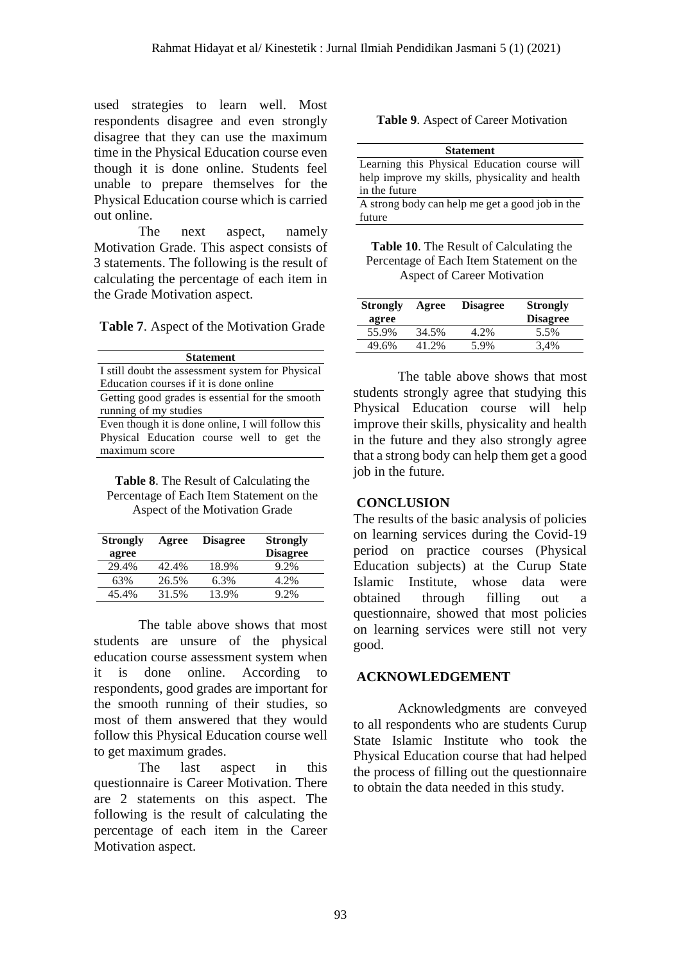future

used strategies to learn well. Most respondents disagree and even strongly disagree that they can use the maximum time in the Physical Education course even though it is done online. Students feel unable to prepare themselves for the Physical Education course which is carried out online.

The next aspect, namely Motivation Grade. This aspect consists of 3 statements. The following is the result of calculating the percentage of each item in the Grade Motivation aspect.

**Table 7**. Aspect of the Motivation Grade

| <b>Statement</b>                                  |  |  |  |
|---------------------------------------------------|--|--|--|
| I still doubt the assessment system for Physical  |  |  |  |
| Education courses if it is done online            |  |  |  |
| Getting good grades is essential for the smooth   |  |  |  |
| running of my studies                             |  |  |  |
| Even though it is done online, I will follow this |  |  |  |
| Physical Education course well to get the         |  |  |  |
| maximum score                                     |  |  |  |

**Table 8**. The Result of Calculating the Percentage of Each Item Statement on the Aspect of the Motivation Grade

| <b>Strongly</b><br>agree | Agree | <b>Disagree</b> | <b>Strongly</b><br><b>Disagree</b> |
|--------------------------|-------|-----------------|------------------------------------|
| 29.4%                    | 42.4% | 18.9%           | $9.2\%$                            |
| 63%                      | 26.5% | 6.3%            | 4.2%                               |
| 45.4%                    | 31.5% | 13.9%           | 9.2%                               |

The table above shows that most students are unsure of the physical education course assessment system when it is done online. According to respondents, good grades are important for the smooth running of their studies, so most of them answered that they would follow this Physical Education course well to get maximum grades.

The last aspect in this questionnaire is Career Motivation. There are 2 statements on this aspect. The following is the result of calculating the percentage of each item in the Career Motivation aspect.

**Table 9**. Aspect of Career Motivation

| <b>Statement</b>                                |  |  |  |
|-------------------------------------------------|--|--|--|
| Learning this Physical Education course will    |  |  |  |
| help improve my skills, physicality and health  |  |  |  |
| in the future                                   |  |  |  |
| A strong body can help me get a good job in the |  |  |  |

**Table 10**. The Result of Calculating the Percentage of Each Item Statement on the Aspect of Career Motivation

| <b>Strongly</b><br>agree | Agree | <b>Disagree</b> | <b>Strongly</b><br><b>Disagree</b> |
|--------------------------|-------|-----------------|------------------------------------|
| 55.9%                    | 34.5% | 4.2%            | 5.5%                               |
| 49.6%                    | 41.2% | 5.9%            | 3.4%                               |

The table above shows that most students strongly agree that studying this Physical Education course will help improve their skills, physicality and health in the future and they also strongly agree that a strong body can help them get a good job in the future.

## **CONCLUSION**

The results of the basic analysis of policies on learning services during the Covid-19 period on practice courses (Physical Education subjects) at the Curup State Islamic Institute, whose data were obtained through filling out a questionnaire, showed that most policies on learning services were still not very good.

## **ACKNOWLEDGEMENT**

Acknowledgments are conveyed to all respondents who are students Curup State Islamic Institute who took the Physical Education course that had helped the process of filling out the questionnaire to obtain the data needed in this study.